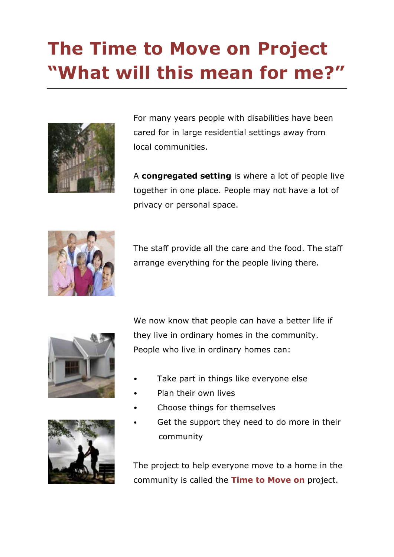# **The Time to Move on Project "What will this mean for me?"**



For many years people with disabilities have been cared for in large residential settings away from local communities.

A **congregated setting** is where a lot of people live together in one place. People may not have a lot of privacy or personal space.



The staff provide all the care and the food. The staff arrange everything for the people living there.





We now know that people can have a better life if they live in ordinary homes in the community. People who live in ordinary homes can:

- Take part in things like everyone else
- Plan their own lives
- Choose things for themselves
- Get the support they need to do more in their community

The project to help everyone move to a home in the community is called the **Time to Move on** project.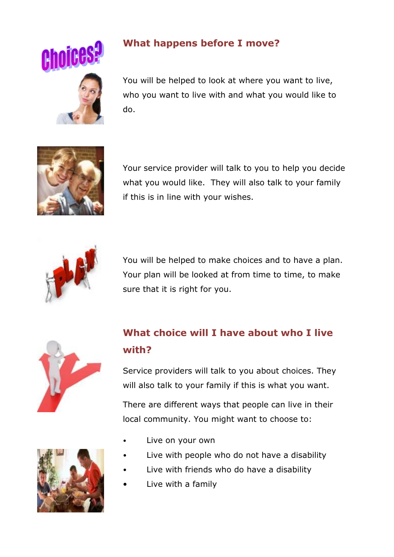

#### **What happens before I move?**

You will be helped to look at where you want to live, who you want to live with and what you would like to do.



Your service provider will talk to you to help you decide what you would like. They will also talk to your family if this is in line with your wishes.



You will be helped to make choices and to have a plan. Your plan will be looked at from time to time, to make sure that it is right for you.



# **What choice will I have about who I live with?**

Service providers will talk to you about choices. They will also talk to your family if this is what you want.

There are different ways that people can live in their local community. You might want to choose to:

- Live on your own
- Live with people who do not have a disability
- Live with friends who do have a disability
- Live with a family

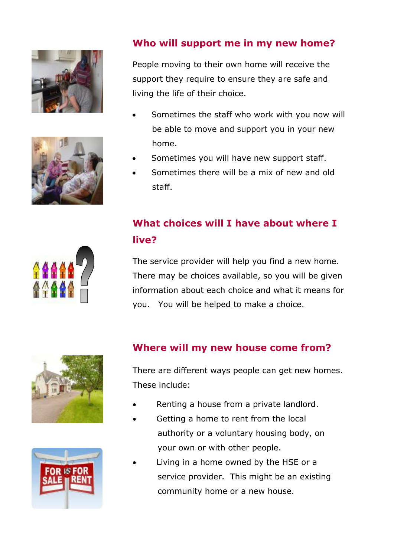



#### **Who will support me in my new home?**

People moving to their own home will receive the support they require to ensure they are safe and living the life of their choice.

- Sometimes the staff who work with you now will be able to move and support you in your new home.
- Sometimes you will have new support staff.
- Sometimes there will be a mix of new and old staff.

## **What choices will I have about where I live?**

The service provider will help you find a new home. There may be choices available, so you will be given information about each choice and what it means for you. You will be helped to make a choice.





#### **Where will my new house come from?**

There are different ways people can get new homes. These include:

- Renting a house from a private landlord.
- Getting a home to rent from the local authority or a voluntary housing body, on your own or with other people.
- Living in a home owned by the HSE or a service provider. This might be an existing community home or a new house.